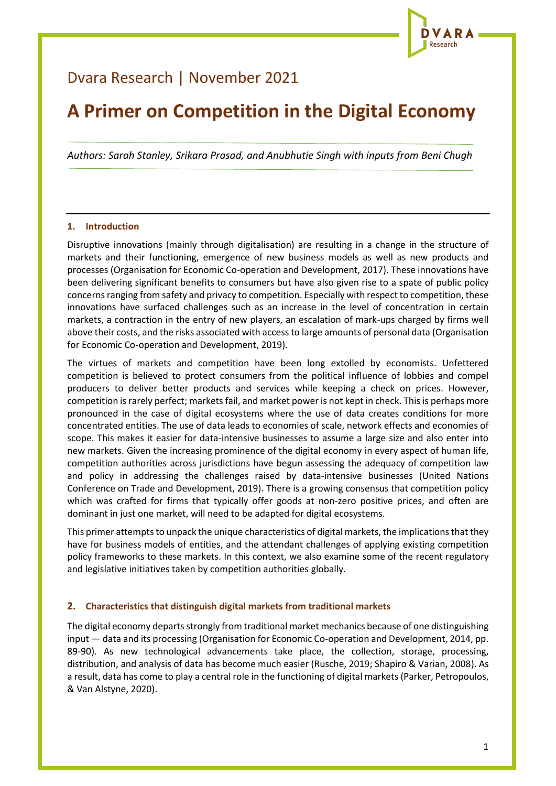

# Dvara Research | November 2021

# **A Primer on Competition in the Digital Economy**

*Authors: Sarah Stanley, Srikara Prasad, and Anubhutie Singh with inputs from Beni Chugh*

#### **1. Introduction**

Disruptive innovations (mainly through digitalisation) are resulting in a change in the structure of markets and their functioning, emergence of new business models as well as new products and processes (Organisation for Economic Co-operation and Development, 2017). These innovations have been delivering significant benefits to consumers but have also given rise to a spate of public policy concerns ranging from safety and privacy to competition. Especially with respect to competition, these innovations have surfaced challenges such as an increase in the level of concentration in certain markets, a contraction in the entry of new players, an escalation of mark-ups charged by firms well above their costs, and the risks associated with access to large amounts of personal data (Organisation for Economic Co-operation and Development, 2019).

The virtues of markets and competition have been long extolled by economists. Unfettered competition is believed to protect consumers from the political influence of lobbies and compel producers to deliver better products and services while keeping a check on prices. However, competition is rarely perfect; markets fail, and market power is not kept in check. This is perhaps more pronounced in the case of digital ecosystems where the use of data creates conditions for more concentrated entities. The use of data leads to economies of scale, network effects and economies of scope. This makes it easier for data-intensive businesses to assume a large size and also enter into new markets. Given the increasing prominence of the digital economy in every aspect of human life, competition authorities across jurisdictions have begun assessing the adequacy of competition law and policy in addressing the challenges raised by data-intensive businesses (United Nations Conference on Trade and Development, 2019). There is a growing consensus that competition policy which was crafted for firms that typically offer goods at non-zero positive prices, and often are dominant in just one market, will need to be adapted for digital ecosystems.

This primer attempts to unpack the unique characteristics of digital markets, the implications that they have for business models of entities, and the attendant challenges of applying existing competition policy frameworks to these markets. In this context, we also examine some of the recent regulatory and legislative initiatives taken by competition authorities globally.

#### **2. Characteristics that distinguish digital markets from traditional markets**

The digital economy departs strongly from traditional market mechanics because of one distinguishing input — data and its processing (Organisation for Economic Co-operation and Development, 2014, pp. 89-90). As new technological advancements take place, the collection, storage, processing, distribution, and analysis of data has become much easier (Rusche, 2019; Shapiro & Varian, 2008). As a result, data has come to play a central role in the functioning of digital markets (Parker, Petropoulos, & Van Alstyne, 2020).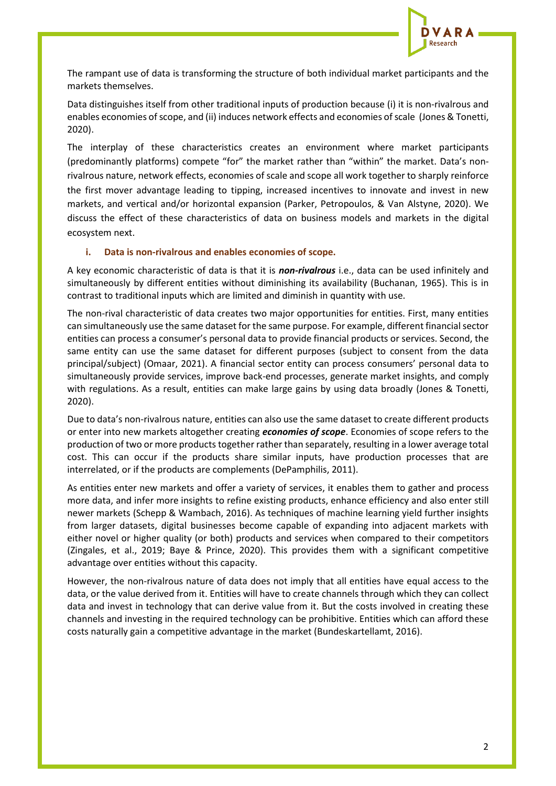

The rampant use of data is transforming the structure of both individual market participants and the markets themselves.

Data distinguishes itself from other traditional inputs of production because (i) it is non-rivalrous and enables economies of scope, and (ii) induces network effects and economies of scale (Jones & Tonetti, 2020).

The interplay of these characteristics creates an environment where market participants (predominantly platforms) compete "for" the market rather than "within" the market. Data's nonrivalrous nature, network effects, economies of scale and scope all work together to sharply reinforce the first mover advantage leading to tipping, increased incentives to innovate and invest in new markets, and vertical and/or horizontal expansion (Parker, Petropoulos, & Van Alstyne, 2020). We discuss the effect of these characteristics of data on business models and markets in the digital ecosystem next.

#### **i. Data is non-rivalrous and enables economies of scope.**

A key economic characteristic of data is that it is *non-rivalrous* i.e., data can be used infinitely and simultaneously by different entities without diminishing its availability (Buchanan, 1965). This is in contrast to traditional inputs which are limited and diminish in quantity with use.

The non-rival characteristic of data creates two major opportunities for entities. First, many entities can simultaneously use the same dataset for the same purpose. For example, different financial sector entities can process a consumer's personal data to provide financial products or services. Second, the same entity can use the same dataset for different purposes (subject to consent from the data principal/subject) (Omaar, 2021). A financial sector entity can process consumers' personal data to simultaneously provide services, improve back-end processes, generate market insights, and comply with regulations. As a result, entities can make large gains by using data broadly (Jones & Tonetti, 2020).

Due to data's non-rivalrous nature, entities can also use the same dataset to create different products or enter into new markets altogether creating *economies of scope*. Economies of scope refers to the production of two or more productstogether rather than separately, resulting in a lower average total cost. This can occur if the products share similar inputs, have production processes that are interrelated, or if the products are complements (DePamphilis, 2011).

As entities enter new markets and offer a variety of services, it enables them to gather and process more data, and infer more insights to refine existing products, enhance efficiency and also enter still newer markets (Schepp & Wambach, 2016). As techniques of machine learning yield further insights from larger datasets, digital businesses become capable of expanding into adjacent markets with either novel or higher quality (or both) products and services when compared to their competitors (Zingales, et al., 2019; Baye & Prince, 2020). This provides them with a significant competitive advantage over entities without this capacity.

However, the non-rivalrous nature of data does not imply that all entities have equal access to the data, or the value derived from it. Entities will have to create channels through which they can collect data and invest in technology that can derive value from it. But the costs involved in creating these channels and investing in the required technology can be prohibitive. Entities which can afford these costs naturally gain a competitive advantage in the market (Bundeskartellamt, 2016).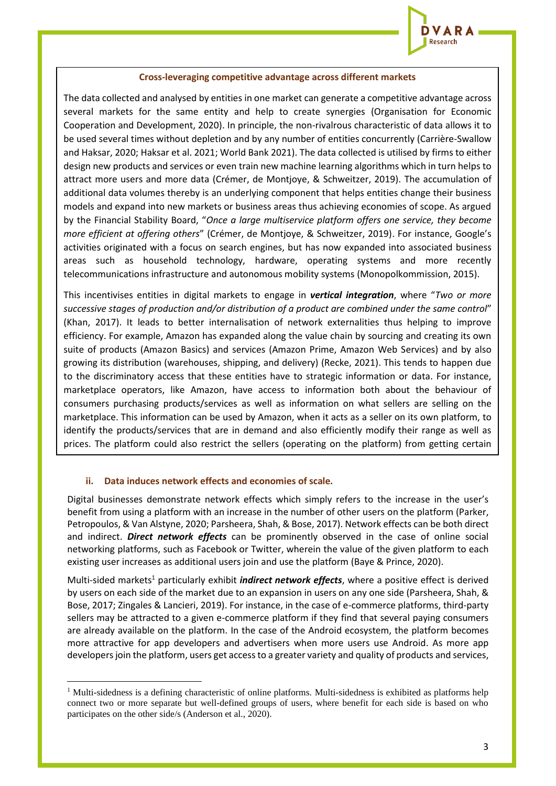

#### **Cross-leveraging competitive advantage across different markets**

The data collected and analysed by entities in one market can generate a competitive advantage across several markets for the same entity and help to create synergies (Organisation for Economic Cooperation and Development, 2020). In principle, the non-rivalrous characteristic of data allows it to be used several times without depletion and by any number of entities concurrently (Carrière-Swallow and Haksar, 2020; Haksar et al. 2021; World Bank 2021). The data collected is utilised by firms to either design new products and services or even train new machine learning algorithms which in turn helps to attract more users and more data (Crémer, de Montjoye, & Schweitzer, 2019). The accumulation of additional data volumes thereby is an underlying component that helps entities change their business models and expand into new markets or business areas thus achieving economies of scope. As argued by the Financial Stability Board, "*Once a large multiservice platform offers one service, they become more efficient at offering others*" (Crémer, de Montjoye, & Schweitzer, 2019). For instance, Google's activities originated with a focus on search engines, but has now expanded into associated business areas such as household technology, hardware, operating systems and more recently telecommunications infrastructure and autonomous mobility systems (Monopolkommission, 2015).

This incentivises entities in digital markets to engage in *vertical integration*, where "*Two or more successive stages of production and/or distribution of a product are combined under the same control*" (Khan, 2017). It leads to better internalisation of network externalities thus helping to improve efficiency. For example, Amazon has expanded along the value chain by sourcing and creating its own suite of products (Amazon Basics) and services (Amazon Prime, Amazon Web Services) and by also growing its distribution (warehouses, shipping, and delivery) (Recke, 2021). This tends to happen due to the discriminatory access that these entities have to strategic information or data. For instance, marketplace operators, like Amazon, have access to information both about the behaviour of consumers purchasing products/services as well as information on what sellers are selling on the marketplace. This information can be used by Amazon, when it acts as a seller on its own platform, to identify the products/services that are in demand and also efficiently modify their range as well as prices. The platform could also restrict the sellers (operating on the platform) from getting certain

#### **ii. Data induces network effects and economies of scale.**

information, thereby limiting their competitive power (Bundeskartellamt, 2016).

Digital businesses demonstrate network effects which simply refers to the increase in the user's benefit from using a platform with an increase in the number of other users on the platform (Parker, Petropoulos, & Van Alstyne, 2020; Parsheera, Shah, & Bose, 2017). Network effects can be both direct and indirect. *Direct network effects* can be prominently observed in the case of online social networking platforms, such as Facebook or Twitter, wherein the value of the given platform to each existing user increases as additional users join and use the platform (Baye & Prince, 2020).

Multi-sided markets<sup>1</sup> particularly exhibit *indirect network effects*, where a positive effect is derived by users on each side of the market due to an expansion in users on any one side (Parsheera, Shah, & Bose, 2017; Zingales & Lancieri, 2019). For instance, in the case of e-commerce platforms, third-party sellers may be attracted to a given e-commerce platform if they find that several paying consumers are already available on the platform. In the case of the Android ecosystem, the platform becomes more attractive for app developers and advertisers when more users use Android. As more app developers join the platform, users get access to a greater variety and quality of products and services,

<sup>&</sup>lt;sup>1</sup> Multi-sidedness is a defining characteristic of online platforms. Multi-sidedness is exhibited as platforms help connect two or more separate but well-defined groups of users, where benefit for each side is based on who participates on the other side/s (Anderson et al., 2020).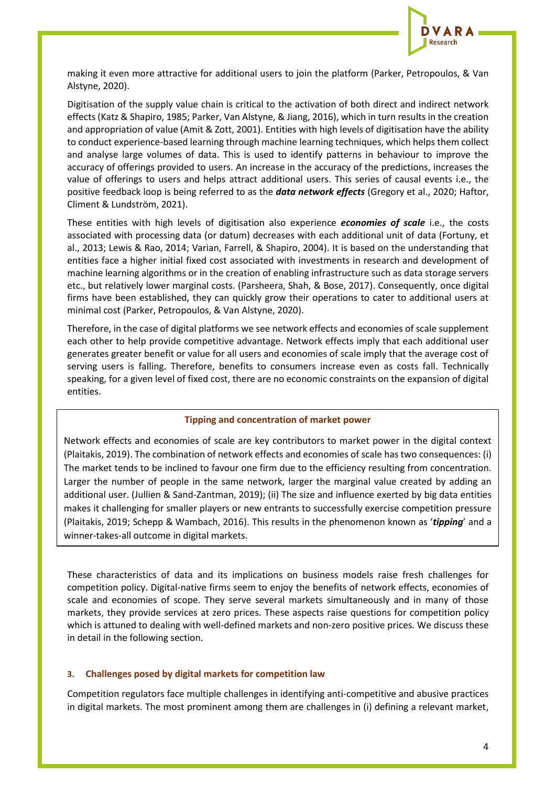

making it even more attractive for additional users to join the platform (Parker, Petropoulos, & Van Alstyne, 2020).

Digitisation of the supply value chain is critical to the activation of both direct and indirect network effects (Katz & Shapiro, 1985; Parker, Van Alstyne, & Jiang, 2016), which in turn results in the creation and appropriation of value (Amit & Zott, 2001). Entities with high levels of digitisation have the ability to conduct experience-based learning through machine learning techniques, which helps them collect and analyse large volumes of data. This is used to identify patterns in behaviour to improve the accuracy of offerings provided to users. An increase in the accuracy of the predictions, increases the value of offerings to users and helps attract additional users. This series of causal events i.e., the positive feedback loop is being referred to as the *data network effects* (Gregory et al., 2020; Haftor, Climent & Lundström, 2021).

These entities with high levels of digitisation also experience *economies of scale* i.e., the costs associated with processing data (or datum) decreases with each additional unit of data (Fortuny, et al., 2013; Lewis & Rao, 2014; Varian, Farrell, & Shapiro, 2004). It is based on the understanding that entities face a higher initial fixed cost associated with investments in research and development of machine learning algorithms or in the creation of enabling infrastructure such as data storage servers etc., but relatively lower marginal costs. (Parsheera, Shah, & Bose, 2017). Consequently, once digital firms have been established, they can quickly grow their operations to cater to additional users at minimal cost (Parker, Petropoulos, & Van Alstyne, 2020).

Therefore, in the case of digital platforms we see network effects and economies of scale supplement each other to help provide competitive advantage. Network effects imply that each additional user generates greater benefit or value for all users and economies of scale imply that the average cost of serving users is falling. Therefore, benefits to consumers increase even as costs fall. Technically speaking, for a given level of fixed cost, there are no economic constraints on the expansion of digital entities.

#### **Tipping and concentration of market power**

Network effects and economies of scale are key contributors to market power in the digital context (Plaitakis, 2019). The combination of network effects and economies of scale has two consequences: (i) The market tends to be inclined to favour one firm due to the efficiency resulting from concentration. Larger the number of people in the same network, larger the marginal value created by adding an additional user. (Jullien & Sand-Zantman, 2019); (ii) The size and influence exerted by big data entities makes it challenging for smaller players or new entrants to successfully exercise competition pressure (Plaitakis, 2019; Schepp & Wambach, 2016). This results in the phenomenon known as '*tipping*' and a winner-takes-all outcome in digital markets.

These characteristics of data and its implications on business models raise fresh challenges for competition policy. Digital-native firms seem to enjoy the benefits of network effects, economies of scale and economies of scope. They serve several markets simultaneously and in many of those markets, they provide services at zero prices. These aspects raise questions for competition policy which is attuned to dealing with well-defined markets and non-zero positive prices. We discuss these in detail in the following section.

#### **3. Challenges posed by digital markets for competition law**

Competition regulators face multiple challenges in identifying anti-competitive and abusive practices in digital markets. The most prominent among them are challenges in (i) defining a relevant market,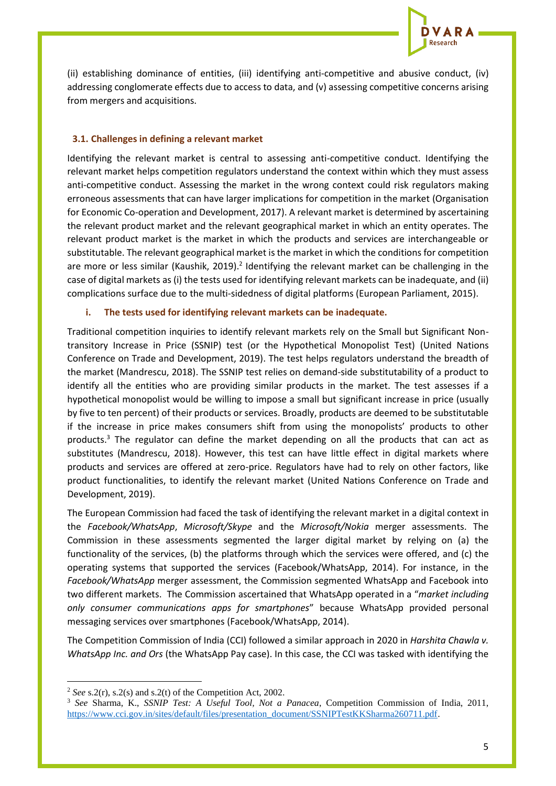

(ii) establishing dominance of entities, (iii) identifying anti-competitive and abusive conduct, (iv) addressing conglomerate effects due to access to data, and (v) assessing competitive concerns arising from mergers and acquisitions.

## **3.1. Challenges in defining a relevant market**

Identifying the relevant market is central to assessing anti-competitive conduct. Identifying the relevant market helps competition regulators understand the context within which they must assess anti-competitive conduct. Assessing the market in the wrong context could risk regulators making erroneous assessments that can have larger implications for competition in the market (Organisation for Economic Co-operation and Development, 2017). A relevant market is determined by ascertaining the relevant product market and the relevant geographical market in which an entity operates. The relevant product market is the market in which the products and services are interchangeable or substitutable. The relevant geographical market is the market in which the conditions for competition are more or less similar (Kaushik, 2019).<sup>2</sup> Identifying the relevant market can be challenging in the case of digital markets as (i) the tests used for identifying relevant markets can be inadequate, and (ii) complications surface due to the multi-sidedness of digital platforms (European Parliament, 2015).

# **i. The tests used for identifying relevant markets can be inadequate.**

Traditional competition inquiries to identify relevant markets rely on the Small but Significant Nontransitory Increase in Price (SSNIP) test (or the Hypothetical Monopolist Test) (United Nations Conference on Trade and Development, 2019). The test helps regulators understand the breadth of the market (Mandrescu, 2018). The SSNIP test relies on demand-side substitutability of a product to identify all the entities who are providing similar products in the market. The test assesses if a hypothetical monopolist would be willing to impose a small but significant increase in price (usually by five to ten percent) of their products or services. Broadly, products are deemed to be substitutable if the increase in price makes consumers shift from using the monopolists' products to other products.<sup>3</sup> The regulator can define the market depending on all the products that can act as substitutes (Mandrescu, 2018). However, this test can have little effect in digital markets where products and services are offered at zero-price. Regulators have had to rely on other factors, like product functionalities, to identify the relevant market (United Nations Conference on Trade and Development, 2019).

The European Commission had faced the task of identifying the relevant market in a digital context in the *Facebook/WhatsApp*, *Microsoft/Skype* and the *Microsoft/Nokia* merger assessments. The Commission in these assessments segmented the larger digital market by relying on (a) the functionality of the services, (b) the platforms through which the services were offered, and (c) the operating systems that supported the services (Facebook/WhatsApp, 2014). For instance, in the *Facebook/WhatsApp* merger assessment, the Commission segmented WhatsApp and Facebook into two different markets. The Commission ascertained that WhatsApp operated in a "*market including only consumer communications apps for smartphones*" because WhatsApp provided personal messaging services over smartphones (Facebook/WhatsApp, 2014).

The Competition Commission of India (CCI) followed a similar approach in 2020 in *Harshita Chawla v. WhatsApp Inc. and Ors* (the WhatsApp Pay case). In this case, the CCI was tasked with identifying the

<sup>2</sup> *See* s.2(r), s.2(s) and s.2(t) of the Competition Act, 2002.

<sup>3</sup> *See* Sharma, K., *SSNIP Test: A Useful Tool, Not a Panacea*, Competition Commission of India, 2011, [https://www.cci.gov.in/sites/default/files/presentation\\_document/SSNIPTestKKSharma260711.pdf.](https://www.cci.gov.in/sites/default/files/presentation_document/SSNIPTestKKSharma260711.pdf)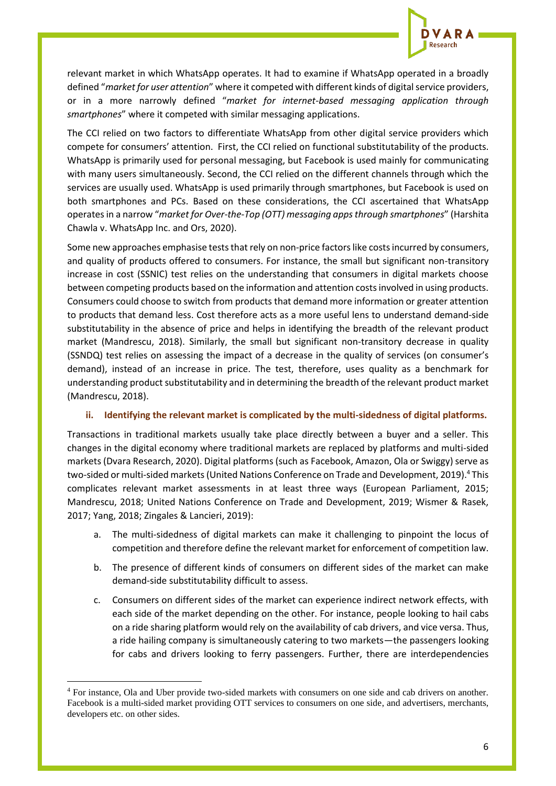

relevant market in which WhatsApp operates. It had to examine if WhatsApp operated in a broadly defined "*market for user attention*" where it competed with different kinds of digital service providers, or in a more narrowly defined "*market for internet-based messaging application through smartphones*" where it competed with similar messaging applications.

The CCI relied on two factors to differentiate WhatsApp from other digital service providers which compete for consumers' attention. First, the CCI relied on functional substitutability of the products. WhatsApp is primarily used for personal messaging, but Facebook is used mainly for communicating with many users simultaneously. Second, the CCI relied on the different channels through which the services are usually used. WhatsApp is used primarily through smartphones, but Facebook is used on both smartphones and PCs. Based on these considerations, the CCI ascertained that WhatsApp operates in a narrow "*market for Over-the-Top (OTT) messaging apps through smartphones*" (Harshita Chawla v. WhatsApp Inc. and Ors, 2020).

Some new approaches emphasise tests that rely on non-price factors like costs incurred by consumers, and quality of products offered to consumers. For instance, the small but significant non-transitory increase in cost (SSNIC) test relies on the understanding that consumers in digital markets choose between competing products based on the information and attention costs involved in using products. Consumers could choose to switch from products that demand more information or greater attention to products that demand less. Cost therefore acts as a more useful lens to understand demand-side substitutability in the absence of price and helps in identifying the breadth of the relevant product market (Mandrescu, 2018). Similarly, the small but significant non-transitory decrease in quality (SSNDQ) test relies on assessing the impact of a decrease in the quality of services (on consumer's demand), instead of an increase in price. The test, therefore, uses quality as a benchmark for understanding product substitutability and in determining the breadth of the relevant product market (Mandrescu, 2018).

#### **ii. Identifying the relevant market is complicated by the multi-sidedness of digital platforms.**

Transactions in traditional markets usually take place directly between a buyer and a seller. This changes in the digital economy where traditional markets are replaced by platforms and multi-sided markets (Dvara Research, 2020). Digital platforms (such as Facebook, Amazon, Ola or Swiggy) serve as two-sided or multi-sided markets (United Nations Conference on Trade and Development, 2019). <sup>4</sup> This complicates relevant market assessments in at least three ways (European Parliament, 2015; Mandrescu, 2018; United Nations Conference on Trade and Development, 2019; Wismer & Rasek, 2017; Yang, 2018; Zingales & Lancieri, 2019):

- a. The multi-sidedness of digital markets can make it challenging to pinpoint the locus of competition and therefore define the relevant market for enforcement of competition law.
- b. The presence of different kinds of consumers on different sides of the market can make demand-side substitutability difficult to assess.
- c. Consumers on different sides of the market can experience indirect network effects, with each side of the market depending on the other. For instance, people looking to hail cabs on a ride sharing platform would rely on the availability of cab drivers, and vice versa. Thus, a ride hailing company is simultaneously catering to two markets—the passengers looking for cabs and drivers looking to ferry passengers. Further, there are interdependencies

<sup>4</sup> For instance, Ola and Uber provide two-sided markets with consumers on one side and cab drivers on another. Facebook is a multi-sided market providing OTT services to consumers on one side, and advertisers, merchants, developers etc. on other sides.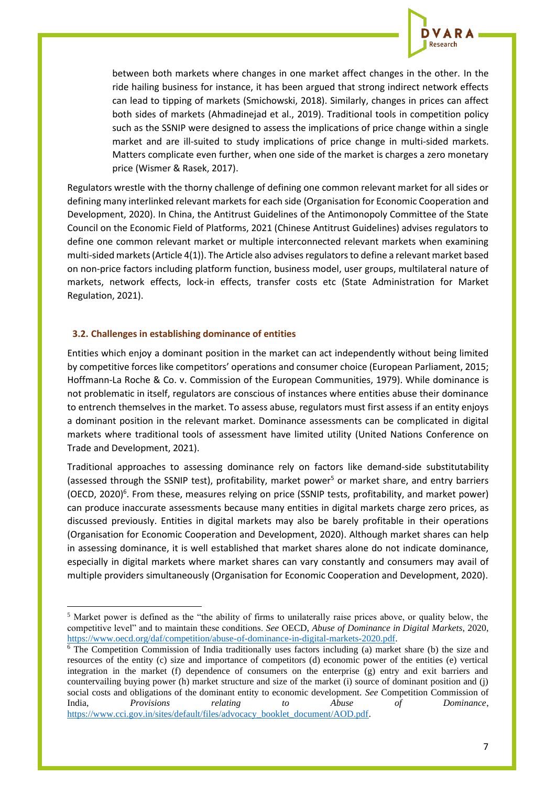

between both markets where changes in one market affect changes in the other. In the ride hailing business for instance, it has been argued that strong indirect network effects can lead to tipping of markets (Smichowski, 2018). Similarly, changes in prices can affect both sides of markets (Ahmadinejad et al., 2019). Traditional tools in competition policy such as the SSNIP were designed to assess the implications of price change within a single market and are ill-suited to study implications of price change in multi-sided markets. Matters complicate even further, when one side of the market is charges a zero monetary price (Wismer & Rasek, 2017).

Regulators wrestle with the thorny challenge of defining one common relevant market for all sides or defining many interlinked relevant markets for each side (Organisation for Economic Cooperation and Development, 2020). In China, the Antitrust Guidelines of the Antimonopoly Committee of the State Council on the Economic Field of Platforms, 2021 (Chinese Antitrust Guidelines) advises regulators to define one common relevant market or multiple interconnected relevant markets when examining multi-sided markets (Article 4(1)). The Article also advises regulators to define a relevant market based on non-price factors including platform function, business model, user groups, multilateral nature of markets, network effects, lock-in effects, transfer costs etc (State Administration for Market Regulation, 2021).

# **3.2. Challenges in establishing dominance of entities**

Entities which enjoy a dominant position in the market can act independently without being limited by competitive forces like competitors' operations and consumer choice (European Parliament, 2015; Hoffmann-La Roche & Co. v. Commission of the European Communities, 1979). While dominance is not problematic in itself, regulators are conscious of instances where entities abuse their dominance to entrench themselves in the market. To assess abuse, regulators must first assess if an entity enjoys a dominant position in the relevant market. Dominance assessments can be complicated in digital markets where traditional tools of assessment have limited utility (United Nations Conference on Trade and Development, 2021).

Traditional approaches to assessing dominance rely on factors like demand-side substitutability (assessed through the SSNIP test), profitability, market power<sup>5</sup> or market share, and entry barriers (OECD, 2020)<sup>6</sup>. From these, measures relying on price (SSNIP tests, profitability, and market power) can produce inaccurate assessments because many entities in digital markets charge zero prices, as discussed previously. Entities in digital markets may also be barely profitable in their operations (Organisation for Economic Cooperation and Development, 2020). Although market shares can help in assessing dominance, it is well established that market shares alone do not indicate dominance, especially in digital markets where market shares can vary constantly and consumers may avail of multiple providers simultaneously (Organisation for Economic Cooperation and Development, 2020).

<sup>5</sup> Market power is defined as the "the ability of firms to unilaterally raise prices above, or quality below, the competitive level" and to maintain these conditions. *See* OECD, *Abuse of Dominance in Digital Markets*, 2020, [https://www.oecd.org/daf/competition/abuse-of-dominance-in-digital-markets-2020.pdf.](https://www.oecd.org/daf/competition/abuse-of-dominance-in-digital-markets-2020.pdf) 

<sup>6</sup> The Competition Commission of India traditionally uses factors including (a) market share (b) the size and resources of the entity (c) size and importance of competitors (d) economic power of the entities (e) vertical integration in the market (f) dependence of consumers on the enterprise (g) entry and exit barriers and countervailing buying power (h) market structure and size of the market (i) source of dominant position and (j) social costs and obligations of the dominant entity to economic development. *See* Competition Commission of India, *Provisions relating to Abuse of Dominance*, [https://www.cci.gov.in/sites/default/files/advocacy\\_booklet\\_document/AOD.pdf.](https://www.cci.gov.in/sites/default/files/advocacy_booklet_document/AOD.pdf)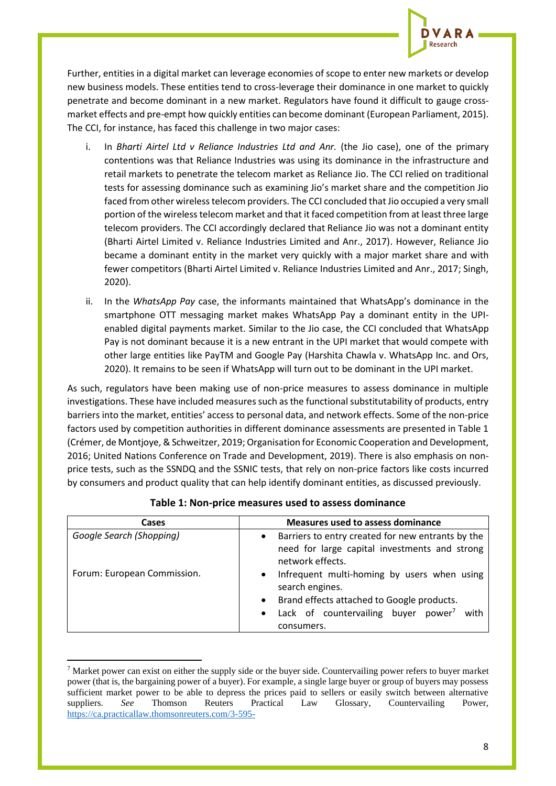

Further, entities in a digital market can leverage economies of scope to enter new markets or develop new business models. These entities tend to cross-leverage their dominance in one market to quickly penetrate and become dominant in a new market. Regulators have found it difficult to gauge crossmarket effects and pre-empt how quickly entities can become dominant (European Parliament, 2015). The CCI, for instance, has faced this challenge in two major cases:

- i. In *Bharti Airtel Ltd v Reliance Industries Ltd and Anr.* (the Jio case), one of the primary contentions was that Reliance Industries was using its dominance in the infrastructure and retail markets to penetrate the telecom market as Reliance Jio. The CCI relied on traditional tests for assessing dominance such as examining Jio's market share and the competition Jio faced from other wireless telecom providers. The CCI concluded that Jio occupied a very small portion of the wireless telecom market and that it faced competition from at least three large telecom providers. The CCI accordingly declared that Reliance Jio was not a dominant entity (Bharti Airtel Limited v. Reliance Industries Limited and Anr., 2017). However, Reliance Jio became a dominant entity in the market very quickly with a major market share and with fewer competitors (Bharti Airtel Limited v. Reliance Industries Limited and Anr., 2017; Singh, 2020).
- ii. In the *WhatsApp Pay* case, the informants maintained that WhatsApp's dominance in the smartphone OTT messaging market makes WhatsApp Pay a dominant entity in the UPIenabled digital payments market. Similar to the Jio case, the CCI concluded that WhatsApp Pay is not dominant because it is a new entrant in the UPI market that would compete with other large entities like PayTM and Google Pay (Harshita Chawla v. WhatsApp Inc. and Ors, 2020). It remains to be seen if WhatsApp will turn out to be dominant in the UPI market.

As such, regulators have been making use of non-price measures to assess dominance in multiple investigations. These have included measures such as the functional substitutability of products, entry barriers into the market, entities' access to personal data, and network effects. Some of the non-price factors used by competition authorities in different dominance assessments are presented in Table 1 (Crémer, de Montjoye, & Schweitzer, 2019; Organisation for Economic Cooperation and Development, 2016; United Nations Conference on Trade and Development, 2019). There is also emphasis on nonprice tests, such as the SSNDQ and the SSNIC tests, that rely on non-price factors like costs incurred by consumers and product quality that can help identify dominant entities, as discussed previously.

| Cases                       | <b>Measures used to assess dominance</b>                                                                                            |
|-----------------------------|-------------------------------------------------------------------------------------------------------------------------------------|
| Google Search (Shopping)    | Barriers to entry created for new entrants by the<br>$\bullet$<br>need for large capital investments and strong<br>network effects. |
| Forum: European Commission. | Infrequent multi-homing by users when using<br>search engines.<br>• Brand effects attached to Google products.                      |
|                             | Lack of countervailing buyer power <sup>7</sup> with<br>consumers.                                                                  |

**Table 1: Non-price measures used to assess dominance**

 $<sup>7</sup>$  Market power can exist on either the supply side or the buyer side. Countervailing power refers to buyer market</sup> power (that is, the bargaining power of a buyer). For example, a single large buyer or group of buyers may possess sufficient market power to be able to depress the prices paid to sellers or easily switch between alternative suppliers. *See* Thomson Reuters Practical Law Glossary, Countervailing Power, [https://ca.practicallaw.thomsonreuters.com/3-595-](https://ca.practicallaw.thomsonreuters.com/3-595-5326?transitionType=Default&contextData=(sc.Default)&firstPage=true#:~:text=Countervailing%20power%20refers%20to%20buyer,easily%20switch%20between%20alternative%20suppliers)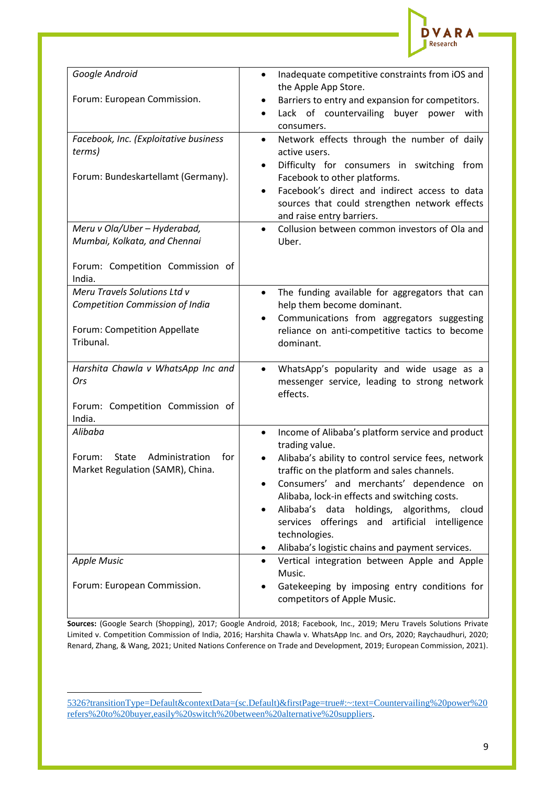

| Google Android                                  | Inadequate competitive constraints from iOS and<br>$\bullet$  |
|-------------------------------------------------|---------------------------------------------------------------|
|                                                 |                                                               |
| Forum: European Commission.                     | the Apple App Store.                                          |
|                                                 | Barriers to entry and expansion for competitors.              |
|                                                 | Lack of countervailing buyer power with<br>$\bullet$          |
|                                                 | consumers.                                                    |
| Facebook, Inc. (Exploitative business           | Network effects through the number of daily<br>$\bullet$      |
| terms)                                          | active users.                                                 |
|                                                 | Difficulty for consumers in switching from                    |
| Forum: Bundeskartellamt (Germany).              | Facebook to other platforms.                                  |
|                                                 | Facebook's direct and indirect access to data<br>$\bullet$    |
|                                                 | sources that could strengthen network effects                 |
|                                                 | and raise entry barriers.                                     |
| Meru v Ola/Uber - Hyderabad,                    | Collusion between common investors of Ola and<br>$\bullet$    |
| Mumbai, Kolkata, and Chennai                    | Uber.                                                         |
|                                                 |                                                               |
| Forum: Competition Commission of                |                                                               |
| India.                                          |                                                               |
| Meru Travels Solutions Ltd v                    | The funding available for aggregators that can<br>$\bullet$   |
| Competition Commission of India                 | help them become dominant.                                    |
|                                                 | Communications from aggregators suggesting<br>$\bullet$       |
| Forum: Competition Appellate                    | reliance on anti-competitive tactics to become                |
| Tribunal.                                       | dominant.                                                     |
|                                                 |                                                               |
| Harshita Chawla v WhatsApp Inc and              | WhatsApp's popularity and wide usage as a<br>$\bullet$        |
| Ors                                             | messenger service, leading to strong network                  |
|                                                 | effects.                                                      |
| Forum: Competition Commission of                |                                                               |
| India.                                          |                                                               |
| Alibaba                                         | Income of Alibaba's platform service and product<br>$\bullet$ |
|                                                 | trading value.                                                |
| Administration<br>for<br>Forum:<br><b>State</b> | Alibaba's ability to control service fees, network            |
| Market Regulation (SAMR), China.                | traffic on the platform and sales channels.                   |
|                                                 | Consumers' and merchants' dependence on                       |
|                                                 | Alibaba, lock-in effects and switching costs.                 |
|                                                 | Alibaba's data<br>holdings,<br>algorithms, cloud              |
|                                                 | services offerings and artificial intelligence                |
|                                                 | technologies.                                                 |
|                                                 |                                                               |
|                                                 | Alibaba's logistic chains and payment services.               |
| <b>Apple Music</b>                              | Vertical integration between Apple and Apple<br>$\bullet$     |
|                                                 | Music.                                                        |
| Forum: European Commission.                     | Gatekeeping by imposing entry conditions for                  |
|                                                 | competitors of Apple Music.                                   |

**Sources:** (Google Search (Shopping), 2017; Google Android, 2018; Facebook, Inc., 2019; Meru Travels Solutions Private Limited v. Competition Commission of India, 2016; Harshita Chawla v. WhatsApp Inc. and Ors, 2020; Raychaudhuri, 2020; Renard, Zhang, & Wang, 2021; United Nations Conference on Trade and Development, 2019; European Commission, 2021).

[<sup>5326?</sup>transitionType=Default&contextData=\(sc.Default\)&firstPage=true#:~:text=Countervailing%20power%20](https://ca.practicallaw.thomsonreuters.com/3-595-5326?transitionType=Default&contextData=(sc.Default)&firstPage=true#:~:text=Countervailing%20power%20refers%20to%20buyer,easily%20switch%20between%20alternative%20suppliers) [refers%20to%20buyer,easily%20switch%20between%20alternative%20suppliers.](https://ca.practicallaw.thomsonreuters.com/3-595-5326?transitionType=Default&contextData=(sc.Default)&firstPage=true#:~:text=Countervailing%20power%20refers%20to%20buyer,easily%20switch%20between%20alternative%20suppliers)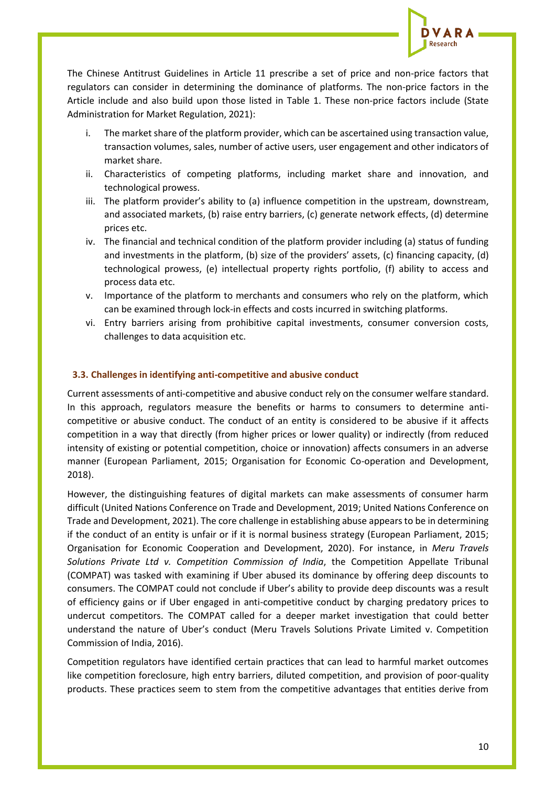

The Chinese Antitrust Guidelines in Article 11 prescribe a set of price and non-price factors that regulators can consider in determining the dominance of platforms. The non-price factors in the Article include and also build upon those listed in Table 1. These non-price factors include (State Administration for Market Regulation, 2021):

- i. The market share of the platform provider, which can be ascertained using transaction value, transaction volumes, sales, number of active users, user engagement and other indicators of market share.
- ii. Characteristics of competing platforms, including market share and innovation, and technological prowess.
- iii. The platform provider's ability to (a) influence competition in the upstream, downstream, and associated markets, (b) raise entry barriers, (c) generate network effects, (d) determine prices etc.
- iv. The financial and technical condition of the platform provider including (a) status of funding and investments in the platform, (b) size of the providers' assets, (c) financing capacity, (d) technological prowess, (e) intellectual property rights portfolio, (f) ability to access and process data etc.
- v. Importance of the platform to merchants and consumers who rely on the platform, which can be examined through lock-in effects and costs incurred in switching platforms.
- vi. Entry barriers arising from prohibitive capital investments, consumer conversion costs, challenges to data acquisition etc.

#### **3.3. Challenges in identifying anti-competitive and abusive conduct**

Current assessments of anti-competitive and abusive conduct rely on the consumer welfare standard. In this approach, regulators measure the benefits or harms to consumers to determine anticompetitive or abusive conduct. The conduct of an entity is considered to be abusive if it affects competition in a way that directly (from higher prices or lower quality) or indirectly (from reduced intensity of existing or potential competition, choice or innovation) affects consumers in an adverse manner (European Parliament, 2015; Organisation for Economic Co-operation and Development, 2018).

However, the distinguishing features of digital markets can make assessments of consumer harm difficult (United Nations Conference on Trade and Development, 2019; United Nations Conference on Trade and Development, 2021). The core challenge in establishing abuse appears to be in determining if the conduct of an entity is unfair or if it is normal business strategy (European Parliament, 2015; Organisation for Economic Cooperation and Development, 2020). For instance, in *Meru Travels Solutions Private Ltd v. Competition Commission of India*, the Competition Appellate Tribunal (COMPAT) was tasked with examining if Uber abused its dominance by offering deep discounts to consumers. The COMPAT could not conclude if Uber's ability to provide deep discounts was a result of efficiency gains or if Uber engaged in anti-competitive conduct by charging predatory prices to undercut competitors. The COMPAT called for a deeper market investigation that could better understand the nature of Uber's conduct (Meru Travels Solutions Private Limited v. Competition Commission of India, 2016).

Competition regulators have identified certain practices that can lead to harmful market outcomes like competition foreclosure, high entry barriers, diluted competition, and provision of poor-quality products. These practices seem to stem from the competitive advantages that entities derive from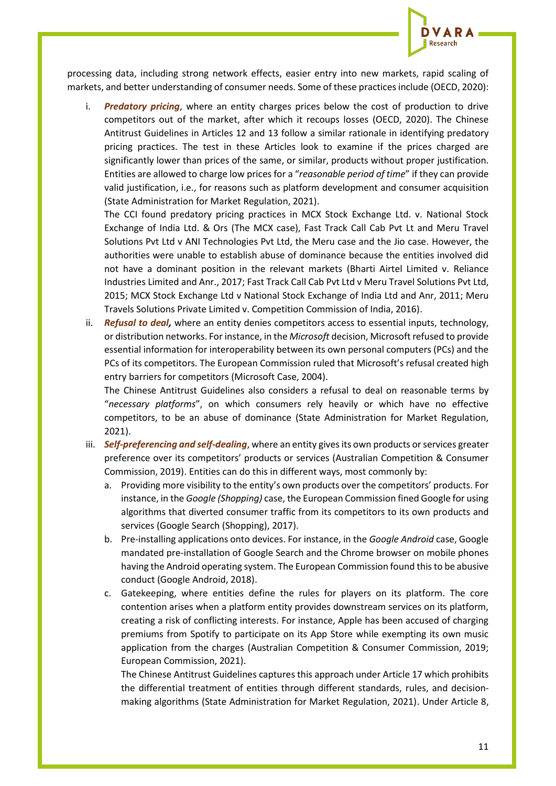

processing data, including strong network effects, easier entry into new markets, rapid scaling of markets, and better understanding of consumer needs. Some of these practices include (OECD, 2020):

i. *Predatory pricing*, where an entity charges prices below the cost of production to drive competitors out of the market, after which it recoups losses (OECD, 2020). The Chinese Antitrust Guidelines in Articles 12 and 13 follow a similar rationale in identifying predatory pricing practices. The test in these Articles look to examine if the prices charged are significantly lower than prices of the same, or similar, products without proper justification. Entities are allowed to charge low prices for a "*reasonable period of time*" if they can provide valid justification, i.e., for reasons such as platform development and consumer acquisition (State Administration for Market Regulation, 2021).

The CCI found predatory pricing practices in MCX Stock Exchange Ltd. v. National Stock Exchange of India Ltd. & Ors (The MCX case), Fast Track Call Cab Pvt Lt and Meru Travel Solutions Pvt Ltd v ANI Technologies Pvt Ltd, the Meru case and the Jio case. However, the authorities were unable to establish abuse of dominance because the entities involved did not have a dominant position in the relevant markets (Bharti Airtel Limited v. Reliance Industries Limited and Anr., 2017; Fast Track Call Cab Pvt Ltd v Meru Travel Solutions Pvt Ltd, 2015; MCX Stock Exchange Ltd v National Stock Exchange of India Ltd and Anr, 2011; Meru Travels Solutions Private Limited v. Competition Commission of India, 2016).

ii. *Refusal to deal,* where an entity denies competitors access to essential inputs, technology, or distribution networks. For instance, in the *Microsoft* decision, Microsoft refused to provide essential information for interoperability between its own personal computers (PCs) and the PCs of its competitors. The European Commission ruled that Microsoft's refusal created high entry barriers for competitors (Microsoft Case, 2004).

The Chinese Antitrust Guidelines also considers a refusal to deal on reasonable terms by "*necessary platforms*", on which consumers rely heavily or which have no effective competitors, to be an abuse of dominance (State Administration for Market Regulation, 2021).

- iii. *Self-preferencing and self-dealing*, where an entity gives its own products or services greater preference over its competitors' products or services (Australian Competition & Consumer Commission, 2019). Entities can do this in different ways, most commonly by:
	- a. Providing more visibility to the entity's own products over the competitors' products. For instance, in the *Google (Shopping)* case, the European Commission fined Google for using algorithms that diverted consumer traffic from its competitors to its own products and services (Google Search (Shopping), 2017).
	- b. Pre-installing applications onto devices. For instance, in the *Google Android* case, Google mandated pre-installation of Google Search and the Chrome browser on mobile phones having the Android operating system. The European Commission found this to be abusive conduct (Google Android, 2018).
	- c. Gatekeeping, where entities define the rules for players on its platform. The core contention arises when a platform entity provides downstream services on its platform, creating a risk of conflicting interests. For instance, Apple has been accused of charging premiums from Spotify to participate on its App Store while exempting its own music application from the charges (Australian Competition & Consumer Commission, 2019; European Commission, 2021).

The Chinese Antitrust Guidelines captures this approach under Article 17 which prohibits the differential treatment of entities through different standards, rules, and decisionmaking algorithms (State Administration for Market Regulation, 2021). Under Article 8,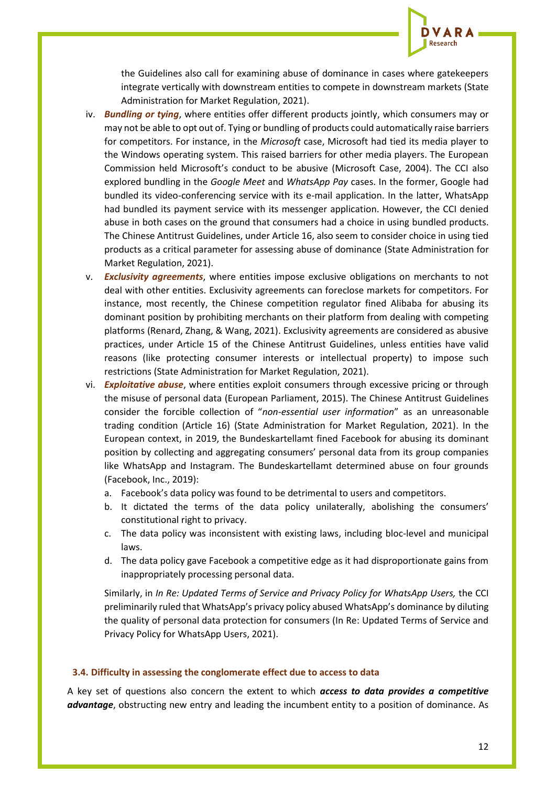

the Guidelines also call for examining abuse of dominance in cases where gatekeepers integrate vertically with downstream entities to compete in downstream markets (State Administration for Market Regulation, 2021).

- iv. *Bundling or tying*, where entities offer different products jointly, which consumers may or may not be able to opt out of. Tying or bundling of products could automatically raise barriers for competitors. For instance, in the *Microsoft* case, Microsoft had tied its media player to the Windows operating system. This raised barriers for other media players. The European Commission held Microsoft's conduct to be abusive (Microsoft Case, 2004). The CCI also explored bundling in the *Google Meet* and *WhatsApp Pay* cases. In the former, Google had bundled its video-conferencing service with its e-mail application. In the latter, WhatsApp had bundled its payment service with its messenger application. However, the CCI denied abuse in both cases on the ground that consumers had a choice in using bundled products. The Chinese Antitrust Guidelines, under Article 16, also seem to consider choice in using tied products as a critical parameter for assessing abuse of dominance (State Administration for Market Regulation, 2021).
- v. *Exclusivity agreements*, where entities impose exclusive obligations on merchants to not deal with other entities. Exclusivity agreements can foreclose markets for competitors. For instance, most recently, the Chinese competition regulator fined Alibaba for abusing its dominant position by prohibiting merchants on their platform from dealing with competing platforms (Renard, Zhang, & Wang, 2021). Exclusivity agreements are considered as abusive practices, under Article 15 of the Chinese Antitrust Guidelines, unless entities have valid reasons (like protecting consumer interests or intellectual property) to impose such restrictions (State Administration for Market Regulation, 2021).
- vi. *Exploitative abuse*, where entities exploit consumers through excessive pricing or through the misuse of personal data (European Parliament, 2015). The Chinese Antitrust Guidelines consider the forcible collection of "*non-essential user information*" as an unreasonable trading condition (Article 16) (State Administration for Market Regulation, 2021). In the European context, in 2019, the Bundeskartellamt fined Facebook for abusing its dominant position by collecting and aggregating consumers' personal data from its group companies like WhatsApp and Instagram. The Bundeskartellamt determined abuse on four grounds (Facebook, Inc., 2019):
	- a. Facebook's data policy was found to be detrimental to users and competitors.
	- b. It dictated the terms of the data policy unilaterally, abolishing the consumers' constitutional right to privacy.
	- c. The data policy was inconsistent with existing laws, including bloc-level and municipal laws.
	- d. The data policy gave Facebook a competitive edge as it had disproportionate gains from inappropriately processing personal data.

Similarly, in *In Re: Updated Terms of Service and Privacy Policy for WhatsApp Users,* the CCI preliminarily ruled that WhatsApp's privacy policy abused WhatsApp's dominance by diluting the quality of personal data protection for consumers (In Re: Updated Terms of Service and Privacy Policy for WhatsApp Users, 2021).

#### **3.4. Difficulty in assessing the conglomerate effect due to access to data**

A key set of questions also concern the extent to which *access to data provides a competitive advantage*, obstructing new entry and leading the incumbent entity to a position of dominance. As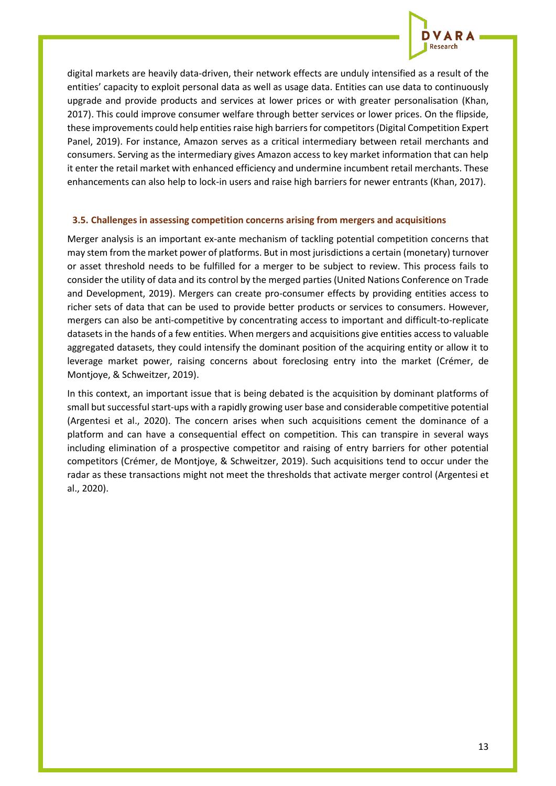

digital markets are heavily data-driven, their network effects are unduly intensified as a result of the entities' capacity to exploit personal data as well as usage data. Entities can use data to continuously upgrade and provide products and services at lower prices or with greater personalisation (Khan, 2017). This could improve consumer welfare through better services or lower prices. On the flipside, these improvements could help entities raise high barriers for competitors (Digital Competition Expert Panel, 2019). For instance, Amazon serves as a critical intermediary between retail merchants and consumers. Serving as the intermediary gives Amazon access to key market information that can help it enter the retail market with enhanced efficiency and undermine incumbent retail merchants. These enhancements can also help to lock-in users and raise high barriers for newer entrants (Khan, 2017).

#### **3.5. Challenges in assessing competition concerns arising from mergers and acquisitions**

Merger analysis is an important ex-ante mechanism of tackling potential competition concerns that may stem from the market power of platforms. But in most jurisdictions a certain (monetary) turnover or asset threshold needs to be fulfilled for a merger to be subject to review. This process fails to consider the utility of data and its control by the merged parties (United Nations Conference on Trade and Development, 2019). Mergers can create pro-consumer effects by providing entities access to richer sets of data that can be used to provide better products or services to consumers. However, mergers can also be anti-competitive by concentrating access to important and difficult-to-replicate datasets in the hands of a few entities. When mergers and acquisitions give entities access to valuable aggregated datasets, they could intensify the dominant position of the acquiring entity or allow it to leverage market power, raising concerns about foreclosing entry into the market (Crémer, de Montjoye, & Schweitzer, 2019).

In this context, an important issue that is being debated is the acquisition by dominant platforms of small but successful start-ups with a rapidly growing user base and considerable competitive potential (Argentesi et al., 2020). The concern arises when such acquisitions cement the dominance of a platform and can have a consequential effect on competition. This can transpire in several ways including elimination of a prospective competitor and raising of entry barriers for other potential competitors (Crémer, de Montjoye, & Schweitzer, 2019). Such acquisitions tend to occur under the radar as these transactions might not meet the thresholds that activate merger control (Argentesi et al., 2020).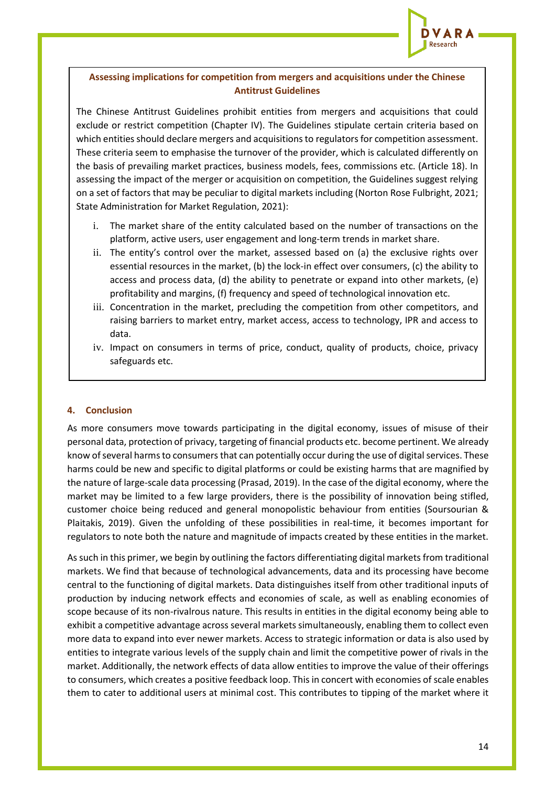

# **Assessing implications for competition from mergers and acquisitions under the Chinese Antitrust Guidelines**

The Chinese Antitrust Guidelines prohibit entities from mergers and acquisitions that could exclude or restrict competition (Chapter IV). The Guidelines stipulate certain criteria based on which entities should declare mergers and acquisitions to regulators for competition assessment. These criteria seem to emphasise the turnover of the provider, which is calculated differently on the basis of prevailing market practices, business models, fees, commissions etc. (Article 18). In assessing the impact of the merger or acquisition on competition, the Guidelines suggest relying on a set of factors that may be peculiar to digital markets including (Norton Rose Fulbright, 2021; State Administration for Market Regulation, 2021):

- i. The market share of the entity calculated based on the number of transactions on the platform, active users, user engagement and long-term trends in market share.
- ii. The entity's control over the market, assessed based on (a) the exclusive rights over essential resources in the market, (b) the lock-in effect over consumers, (c) the ability to access and process data, (d) the ability to penetrate or expand into other markets, (e) profitability and margins, (f) frequency and speed of technological innovation etc.
- iii. Concentration in the market, precluding the competition from other competitors, and raising barriers to market entry, market access, access to technology, IPR and access to data.
- iv. Impact on consumers in terms of price, conduct, quality of products, choice, privacy safeguards etc.

#### **4. Conclusion**

As more consumers move towards participating in the digital economy, issues of misuse of their personal data, protection of privacy, targeting of financial products etc. become pertinent. We already know of several harms to consumers that can potentially occur during the use of digital services. These harms could be new and specific to digital platforms or could be existing harms that are magnified by the nature of large-scale data processing (Prasad, 2019). In the case of the digital economy, where the market may be limited to a few large providers, there is the possibility of innovation being stifled, customer choice being reduced and general monopolistic behaviour from entities (Soursourian & Plaitakis, 2019). Given the unfolding of these possibilities in real-time, it becomes important for regulators to note both the nature and magnitude of impacts created by these entities in the market.

As such in this primer, we begin by outlining the factors differentiating digital markets from traditional markets. We find that because of technological advancements, data and its processing have become central to the functioning of digital markets. Data distinguishes itself from other traditional inputs of production by inducing network effects and economies of scale, as well as enabling economies of scope because of its non-rivalrous nature. This results in entities in the digital economy being able to exhibit a competitive advantage across several markets simultaneously, enabling them to collect even more data to expand into ever newer markets. Access to strategic information or data is also used by entities to integrate various levels of the supply chain and limit the competitive power of rivals in the market. Additionally, the network effects of data allow entities to improve the value of their offerings to consumers, which creates a positive feedback loop. This in concert with economies of scale enables them to cater to additional users at minimal cost. This contributes to tipping of the market where it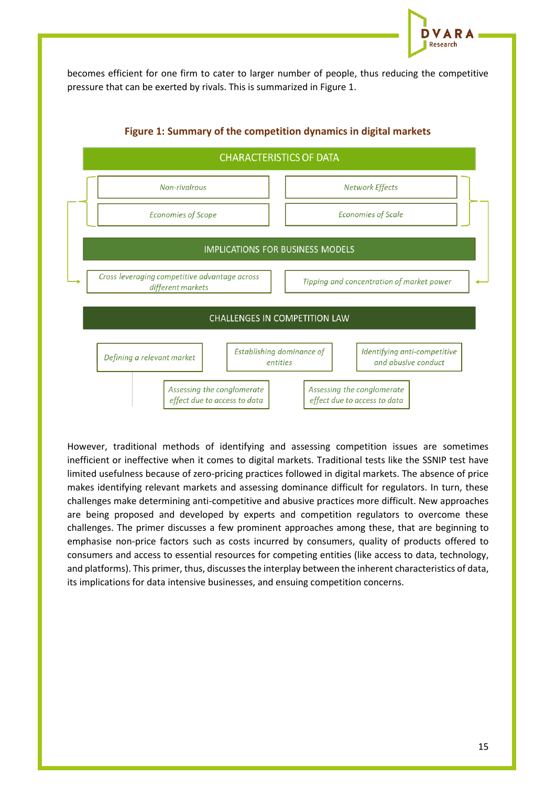

becomes efficient for one firm to cater to larger number of people, thus reducing the competitive pressure that can be exerted by rivals. This is summarized in Figure 1.



## **Figure 1: Summary of the competition dynamics in digital markets**

However, traditional methods of identifying and assessing competition issues are sometimes inefficient or ineffective when it comes to digital markets. Traditional tests like the SSNIP test have limited usefulness because of zero-pricing practices followed in digital markets. The absence of price makes identifying relevant markets and assessing dominance difficult for regulators. In turn, these challenges make determining anti-competitive and abusive practices more difficult. New approaches are being proposed and developed by experts and competition regulators to overcome these challenges. The primer discusses a few prominent approaches among these, that are beginning to emphasise non-price factors such as costs incurred by consumers, quality of products offered to consumers and access to essential resources for competing entities (like access to data, technology, and platforms). This primer, thus, discusses the interplay between the inherent characteristics of data, its implications for data intensive businesses, and ensuing competition concerns.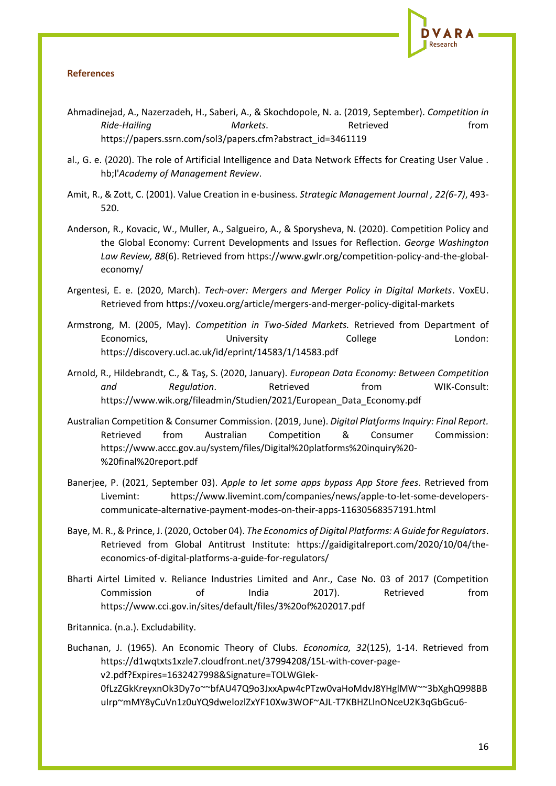

# **References**

- Ahmadinejad, A., Nazerzadeh, H., Saberi, A., & Skochdopole, N. a. (2019, September). *Competition in Ride-Hailing Markets*. Retrieved from https://papers.ssrn.com/sol3/papers.cfm?abstract\_id=3461119
- al., G. e. (2020). The role of Artificial Intelligence and Data Network Effects for Creating User Value . hb;l'*Academy of Management Review*.
- Amit, R., & Zott, C. (2001). Value Creation in e-business. *Strategic Management Journal , 22(6-7)*, 493- 520.
- Anderson, R., Kovacic, W., Muller, A., Salgueiro, A., & Sporysheva, N. (2020). Competition Policy and the Global Economy: Current Developments and Issues for Reflection. *George Washington Law Review, 88*(6). Retrieved from https://www.gwlr.org/competition-policy-and-the-globaleconomy/
- Argentesi, E. e. (2020, March). *Tech-over: Mergers and Merger Policy in Digital Markets*. VoxEU. Retrieved from https://voxeu.org/article/mergers-and-merger-policy-digital-markets
- Armstrong, M. (2005, May). *Competition in Two-Sided Markets.* Retrieved from Department of Economics, **Example 2018** University College **London:** https://discovery.ucl.ac.uk/id/eprint/14583/1/14583.pdf
- Arnold, R., Hildebrandt, C., & Taş, S. (2020, January). *European Data Economy: Between Competition*  and **Regulation.** Retrieved from WIK-Consult: https://www.wik.org/fileadmin/Studien/2021/European\_Data\_Economy.pdf
- Australian Competition & Consumer Commission. (2019, June). *Digital Platforms Inquiry: Final Report.* Retrieved from Australian Competition & Consumer Commission: https://www.accc.gov.au/system/files/Digital%20platforms%20inquiry%20- %20final%20report.pdf
- Banerjee, P. (2021, September 03). *Apple to let some apps bypass App Store fees*. Retrieved from Livemint: https://www.livemint.com/companies/news/apple-to-let-some-developerscommunicate-alternative-payment-modes-on-their-apps-11630568357191.html
- Baye, M. R., & Prince, J. (2020, October 04). *The Economics of Digital Platforms: A Guide for Regulators*. Retrieved from Global Antitrust Institute: https://gaidigitalreport.com/2020/10/04/theeconomics-of-digital-platforms-a-guide-for-regulators/
- Bharti Airtel Limited v. Reliance Industries Limited and Anr., Case No. 03 of 2017 (Competition Commission of India 2017). Retrieved from https://www.cci.gov.in/sites/default/files/3%20of%202017.pdf

Britannica. (n.a.). Excludability.

Buchanan, J. (1965). An Economic Theory of Clubs. *Economica, 32*(125), 1-14. Retrieved from https://d1wqtxts1xzle7.cloudfront.net/37994208/15L-with-cover-pagev2.pdf?Expires=1632427998&Signature=TOLWGIek-0fLzZGkKreyxnOk3Dy7o~~bfAU47Q9o3JxxApw4cPTzw0vaHoMdvJ8YHglMW~~3bXghQ998BB uIrp~mMY8yCuVn1z0uYQ9dwelozlZxYF10Xw3WOF~AJL-T7KBHZLlnONceU2K3qGbGcu6-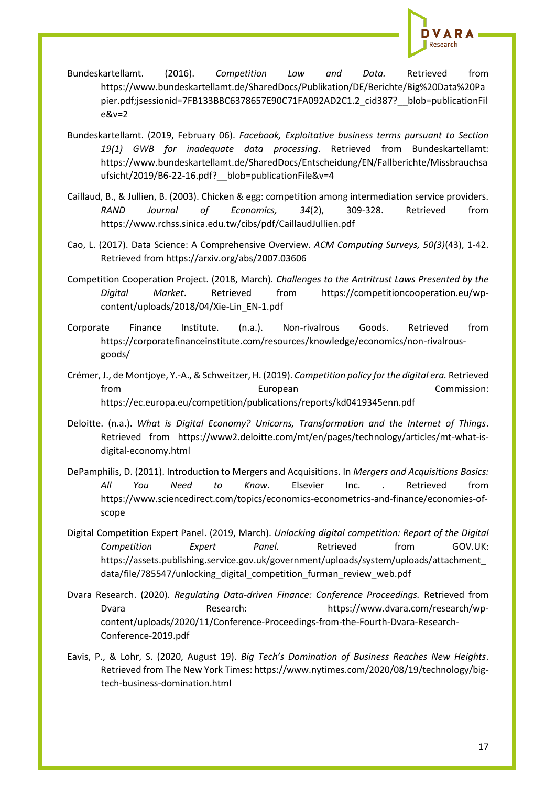

- Bundeskartellamt. (2016). *Competition Law and Data.* Retrieved from https://www.bundeskartellamt.de/SharedDocs/Publikation/DE/Berichte/Big%20Data%20Pa pier.pdf;jsessionid=7FB133BBC6378657E90C71FA092AD2C1.2\_cid387?\_\_blob=publicationFil e&v=2
- Bundeskartellamt. (2019, February 06). *Facebook, Exploitative business terms pursuant to Section 19(1) GWB for inadequate data processing*. Retrieved from Bundeskartellamt: https://www.bundeskartellamt.de/SharedDocs/Entscheidung/EN/Fallberichte/Missbrauchsa ufsicht/2019/B6-22-16.pdf?\_\_blob=publicationFile&v=4
- Caillaud, B., & Jullien, B. (2003). Chicken & egg: competition among intermediation service providers. *RAND Journal of Economics, 34*(2), 309-328. Retrieved from https://www.rchss.sinica.edu.tw/cibs/pdf/CaillaudJullien.pdf
- Cao, L. (2017). Data Science: A Comprehensive Overview. *ACM Computing Surveys, 50(3)*(43), 1-42. Retrieved from https://arxiv.org/abs/2007.03606
- Competition Cooperation Project. (2018, March). *Challenges to the Antritrust Laws Presented by the Digital Market*. Retrieved from https://competitioncooperation.eu/wpcontent/uploads/2018/04/Xie-Lin\_EN-1.pdf
- Corporate Finance Institute. (n.a.). Non-rivalrous Goods. Retrieved from https://corporatefinanceinstitute.com/resources/knowledge/economics/non-rivalrousgoods/
- Crémer, J., de Montjoye, Y.-A., & Schweitzer, H. (2019). *Competition policy for the digital era.* Retrieved from European European Commission: https://ec.europa.eu/competition/publications/reports/kd0419345enn.pdf
- Deloitte. (n.a.). *What is Digital Economy? Unicorns, Transformation and the Internet of Things*. Retrieved from https://www2.deloitte.com/mt/en/pages/technology/articles/mt-what-isdigital-economy.html
- DePamphilis, D. (2011). Introduction to Mergers and Acquisitions. In *Mergers and Acquisitions Basics: All You Need to Know.* Elsevier Inc. . Retrieved from https://www.sciencedirect.com/topics/economics-econometrics-and-finance/economies-ofscope
- Digital Competition Expert Panel. (2019, March). *Unlocking digital competition: Report of the Digital Competition Expert Panel.* Retrieved from GOV.UK: https://assets.publishing.service.gov.uk/government/uploads/system/uploads/attachment\_ data/file/785547/unlocking\_digital\_competition\_furman\_review\_web.pdf
- Dvara Research. (2020). *Regulating Data-driven Finance: Conference Proceedings.* Retrieved from Dvara Research: https://www.dvara.com/research/wpcontent/uploads/2020/11/Conference-Proceedings-from-the-Fourth-Dvara-Research-Conference-2019.pdf
- Eavis, P., & Lohr, S. (2020, August 19). *Big Tech's Domination of Business Reaches New Heights*. Retrieved from The New York Times: https://www.nytimes.com/2020/08/19/technology/bigtech-business-domination.html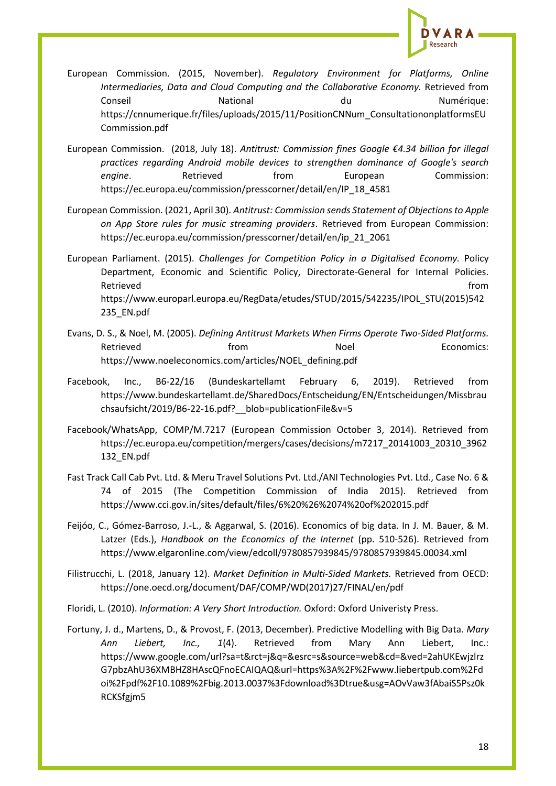

European Commission. (2015, November). *Regulatory Environment for Platforms, Online Intermediaries, Data and Cloud Computing and the Collaborative Economy.* Retrieved from Conseil Mational National du Conseil Numérique: https://cnnumerique.fr/files/uploads/2015/11/PositionCNNum\_ConsultationonplatformsEU Commission.pdf

European Commission. (2018, July 18). *Antitrust: Commission fines Google €4.34 billion for illegal practices regarding Android mobile devices to strengthen dominance of Google's search*  **engine.** Retrieved from European Commission: https://ec.europa.eu/commission/presscorner/detail/en/IP\_18\_4581

European Commission. (2021, April 30). *Antitrust: Commission sends Statement of Objections to Apple on App Store rules for music streaming providers*. Retrieved from European Commission: https://ec.europa.eu/commission/presscorner/detail/en/ip\_21\_2061

European Parliament. (2015). *Challenges for Competition Policy in a Digitalised Economy.* Policy Department, Economic and Scientific Policy, Directorate-General for Internal Policies. Retrieved **from** https://www.europarl.europa.eu/RegData/etudes/STUD/2015/542235/IPOL\_STU(2015)542 235\_EN.pdf

- Evans, D. S., & Noel, M. (2005). *Defining Antitrust Markets When Firms Operate Two-Sided Platforms.* Retrieved **From** Retrieved **Economics:** https://www.noeleconomics.com/articles/NOEL\_defining.pdf
- Facebook, Inc., B6-22/16 (Bundeskartellamt February 6, 2019). Retrieved from https://www.bundeskartellamt.de/SharedDocs/Entscheidung/EN/Entscheidungen/Missbrau chsaufsicht/2019/B6-22-16.pdf?\_\_blob=publicationFile&v=5
- Facebook/WhatsApp, COMP/M.7217 (European Commission October 3, 2014). Retrieved from https://ec.europa.eu/competition/mergers/cases/decisions/m7217\_20141003\_20310\_3962 132\_EN.pdf
- Fast Track Call Cab Pvt. Ltd. & Meru Travel Solutions Pvt. Ltd./ANI Technologies Pvt. Ltd., Case No. 6 & 74 of 2015 (The Competition Commission of India 2015). Retrieved from https://www.cci.gov.in/sites/default/files/6%20%26%2074%20of%202015.pdf
- Feijóo, C., Gómez-Barroso, J.-L., & Aggarwal, S. (2016). Economics of big data. In J. M. Bauer, & M. Latzer (Eds.), *Handbook on the Economics of the Internet* (pp. 510-526). Retrieved from https://www.elgaronline.com/view/edcoll/9780857939845/9780857939845.00034.xml
- Filistrucchi, L. (2018, January 12). *Market Definition in Multi-Sided Markets.* Retrieved from OECD: https://one.oecd.org/document/DAF/COMP/WD(2017)27/FINAL/en/pdf

Floridi, L. (2010). *Information: A Very Short Introduction.* Oxford: Oxford Univeristy Press.

Fortuny, J. d., Martens, D., & Provost, F. (2013, December). Predictive Modelling with Big Data. *Mary Ann Liebert, Inc., 1*(4). Retrieved from Mary Ann Liebert, Inc.: https://www.google.com/url?sa=t&rct=j&q=&esrc=s&source=web&cd=&ved=2ahUKEwjzlrz G7pbzAhU36XMBHZ8HAscQFnoECAIQAQ&url=https%3A%2F%2Fwww.liebertpub.com%2Fd oi%2Fpdf%2F10.1089%2Fbig.2013.0037%3Fdownload%3Dtrue&usg=AOvVaw3fAbaiS5Psz0k RCKSfgjm5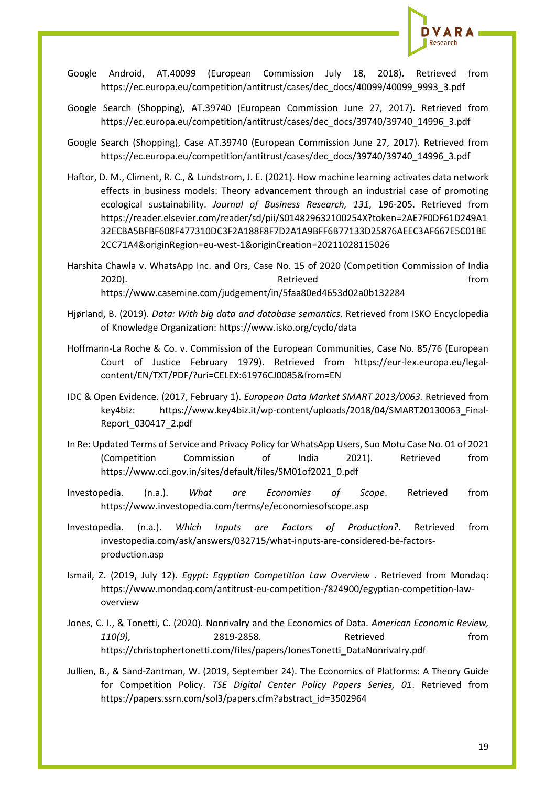

- Google Android, AT.40099 (European Commission July 18, 2018). Retrieved from https://ec.europa.eu/competition/antitrust/cases/dec\_docs/40099/40099\_9993\_3.pdf
- Google Search (Shopping), AT.39740 (European Commission June 27, 2017). Retrieved from https://ec.europa.eu/competition/antitrust/cases/dec\_docs/39740/39740\_14996\_3.pdf
- Google Search (Shopping), Case AT.39740 (European Commission June 27, 2017). Retrieved from https://ec.europa.eu/competition/antitrust/cases/dec\_docs/39740/39740\_14996\_3.pdf
- Haftor, D. M., Climent, R. C., & Lundstrom, J. E. (2021). How machine learning activates data network effects in business models: Theory advancement through an industrial case of promoting ecological sustainability. *Journal of Business Research, 131*, 196-205. Retrieved from https://reader.elsevier.com/reader/sd/pii/S014829632100254X?token=2AE7F0DF61D249A1 32ECBA5BFBF608F477310DC3F2A188F8F7D2A1A9BFF6B77133D25876AEEC3AF667E5C01BE 2CC71A4&originRegion=eu-west-1&originCreation=20211028115026
- Harshita Chawla v. WhatsApp Inc. and Ors, Case No. 15 of 2020 (Competition Commission of India 2020). Retrieved from https://www.casemine.com/judgement/in/5faa80ed4653d02a0b132284
- Hjørland, B. (2019). *Data: With big data and database semantics*. Retrieved from ISKO Encyclopedia of Knowledge Organization: https://www.isko.org/cyclo/data
- Hoffmann-La Roche & Co. v. Commission of the European Communities, Case No. 85/76 (European Court of Justice February 1979). Retrieved from https://eur-lex.europa.eu/legalcontent/EN/TXT/PDF/?uri=CELEX:61976CJ0085&from=EN
- IDC & Open Evidence. (2017, February 1). *European Data Market SMART 2013/0063.* Retrieved from key4biz: https://www.key4biz.it/wp-content/uploads/2018/04/SMART20130063\_Final-Report\_030417\_2.pdf
- In Re: Updated Terms of Service and Privacy Policy for WhatsApp Users, Suo Motu Case No. 01 of 2021 (Competition Commission of India 2021). Retrieved from https://www.cci.gov.in/sites/default/files/SM01of2021\_0.pdf
- Investopedia. (n.a.). *What are Economies of Scope*. Retrieved from https://www.investopedia.com/terms/e/economiesofscope.asp
- Investopedia. (n.a.). *Which Inputs are Factors of Production?*. Retrieved from investopedia.com/ask/answers/032715/what-inputs-are-considered-be-factorsproduction.asp
- Ismail, Z. (2019, July 12). *Egypt: Egyptian Competition Law Overview* . Retrieved from Mondaq: https://www.mondaq.com/antitrust-eu-competition-/824900/egyptian-competition-lawoverview
- Jones, C. I., & Tonetti, C. (2020). Nonrivalry and the Economics of Data. *American Economic Review, 110(9)*, 2819-2858. Retrieved from https://christophertonetti.com/files/papers/JonesTonetti\_DataNonrivalry.pdf
- Jullien, B., & Sand-Zantman, W. (2019, September 24). The Economics of Platforms: A Theory Guide for Competition Policy. *TSE Digital Center Policy Papers Series, 01*. Retrieved from https://papers.ssrn.com/sol3/papers.cfm?abstract\_id=3502964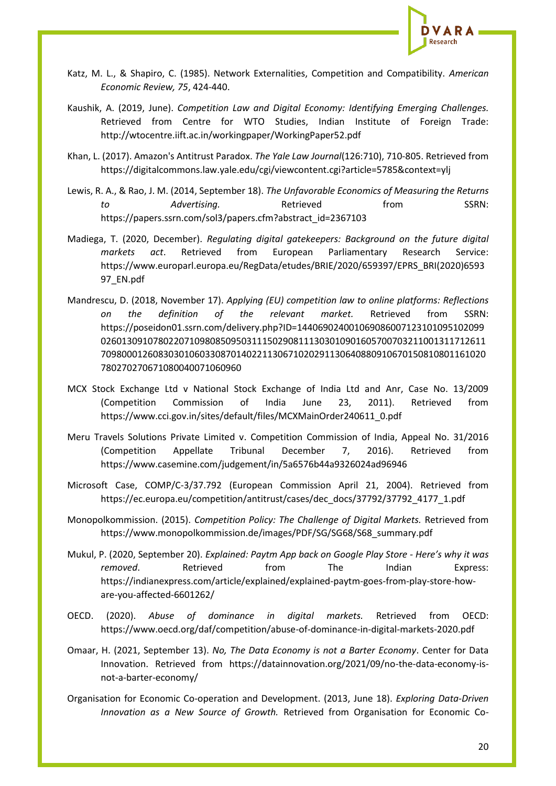

- Katz, M. L., & Shapiro, C. (1985). Network Externalities, Competition and Compatibility. *American Economic Review, 75*, 424-440.
- Kaushik, A. (2019, June). *Competition Law and Digital Economy: Identifying Emerging Challenges.* Retrieved from Centre for WTO Studies, Indian Institute of Foreign Trade: http://wtocentre.iift.ac.in/workingpaper/WorkingPaper52.pdf
- Khan, L. (2017). Amazon's Antitrust Paradox. *The Yale Law Journal*(126:710), 710-805. Retrieved from https://digitalcommons.law.yale.edu/cgi/viewcontent.cgi?article=5785&context=ylj
- Lewis, R. A., & Rao, J. M. (2014, September 18). *The Unfavorable Economics of Measuring the Returns to* Advertising. Retrieved from SSRN: https://papers.ssrn.com/sol3/papers.cfm?abstract\_id=2367103
- Madiega, T. (2020, December). *Regulating digital gatekeepers: Background on the future digital markets act*. Retrieved from European Parliamentary Research Service: https://www.europarl.europa.eu/RegData/etudes/BRIE/2020/659397/EPRS\_BRI(2020)6593 97\_EN.pdf
- Mandrescu, D. (2018, November 17). *Applying (EU) competition law to online platforms: Reflections on the definition of the relevant market.* Retrieved from SSRN: https://poseidon01.ssrn.com/delivery.php?ID=144069024001069086007123101095102099 02601309107802207109808509503111502908111303010901605700703211001311712611 70980001260830301060330870140221130671020291130640880910670150810801161020 780270270671080040071060960
- MCX Stock Exchange Ltd v National Stock Exchange of India Ltd and Anr, Case No. 13/2009 (Competition Commission of India June 23, 2011). Retrieved from https://www.cci.gov.in/sites/default/files/MCXMainOrder240611\_0.pdf
- Meru Travels Solutions Private Limited v. Competition Commission of India, Appeal No. 31/2016 (Competition Appellate Tribunal December 7, 2016). Retrieved from https://www.casemine.com/judgement/in/5a6576b44a9326024ad96946
- Microsoft Case, COMP/C-3/37.792 (European Commission April 21, 2004). Retrieved from https://ec.europa.eu/competition/antitrust/cases/dec\_docs/37792/37792\_4177\_1.pdf
- Monopolkommission. (2015). *Competition Policy: The Challenge of Digital Markets.* Retrieved from https://www.monopolkommission.de/images/PDF/SG/SG68/S68\_summary.pdf
- Mukul, P. (2020, September 20). *Explained: Paytm App back on Google Play Store - Here's why it was removed*. Retrieved from The Indian Express: https://indianexpress.com/article/explained/explained-paytm-goes-from-play-store-howare-you-affected-6601262/
- OECD. (2020). *Abuse of dominance in digital markets.* Retrieved from OECD: https://www.oecd.org/daf/competition/abuse-of-dominance-in-digital-markets-2020.pdf
- Omaar, H. (2021, September 13). *No, The Data Economy is not a Barter Economy*. Center for Data Innovation. Retrieved from https://datainnovation.org/2021/09/no-the-data-economy-isnot-a-barter-economy/
- Organisation for Economic Co-operation and Development. (2013, June 18). *Exploring Data-Driven Innovation as a New Source of Growth.* Retrieved from Organisation for Economic Co-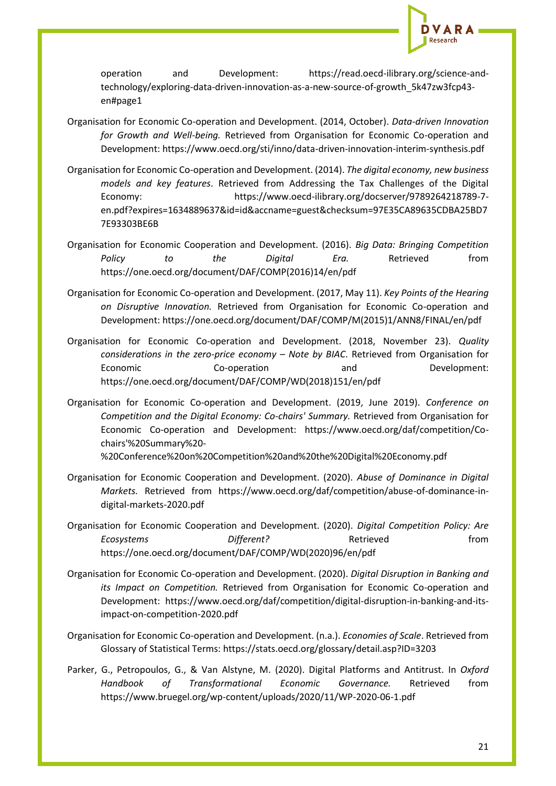

operation and Development: https://read.oecd-ilibrary.org/science-andtechnology/exploring-data-driven-innovation-as-a-new-source-of-growth\_5k47zw3fcp43 en#page1

- Organisation for Economic Co-operation and Development. (2014, October). *Data-driven Innovation for Growth and Well-being.* Retrieved from Organisation for Economic Co-operation and Development: https://www.oecd.org/sti/inno/data-driven-innovation-interim-synthesis.pdf
- Organisation for Economic Co-operation and Development. (2014). *The digital economy, new business models and key features*. Retrieved from Addressing the Tax Challenges of the Digital Economy: https://www.oecd-ilibrary.org/docserver/9789264218789-7 en.pdf?expires=1634889637&id=id&accname=guest&checksum=97E35CA89635CDBA25BD7 7E93303BE6B
- Organisation for Economic Cooperation and Development. (2016). *Big Data: Bringing Competition Policy to the Digital Era.* Retrieved from https://one.oecd.org/document/DAF/COMP(2016)14/en/pdf
- Organisation for Economic Co-operation and Development. (2017, May 11). *Key Points of the Hearing on Disruptive Innovation.* Retrieved from Organisation for Economic Co-operation and Development: https://one.oecd.org/document/DAF/COMP/M(2015)1/ANN8/FINAL/en/pdf
- Organisation for Economic Co-operation and Development. (2018, November 23). *Quality considerations in the zero-price economy – Note by BIAC*. Retrieved from Organisation for Economic Co-operation and Development: https://one.oecd.org/document/DAF/COMP/WD(2018)151/en/pdf
- Organisation for Economic Co-operation and Development. (2019, June 2019). *Conference on Competition and the Digital Economy: Co-chairs' Summary.* Retrieved from Organisation for Economic Co-operation and Development: https://www.oecd.org/daf/competition/Cochairs'%20Summary%20-

%20Conference%20on%20Competition%20and%20the%20Digital%20Economy.pdf

- Organisation for Economic Cooperation and Development. (2020). *Abuse of Dominance in Digital Markets.* Retrieved from https://www.oecd.org/daf/competition/abuse-of-dominance-indigital-markets-2020.pdf
- Organisation for Economic Cooperation and Development. (2020). *Digital Competition Policy: Are*  **Ecosystems Different?** Retrieved **heating heating from** https://one.oecd.org/document/DAF/COMP/WD(2020)96/en/pdf
- Organisation for Economic Co-operation and Development. (2020). *Digital Disruption in Banking and its Impact on Competition.* Retrieved from Organisation for Economic Co-operation and Development: https://www.oecd.org/daf/competition/digital-disruption-in-banking-and-itsimpact-on-competition-2020.pdf
- Organisation for Economic Co-operation and Development. (n.a.). *Economies of Scale*. Retrieved from Glossary of Statistical Terms: https://stats.oecd.org/glossary/detail.asp?ID=3203
- Parker, G., Petropoulos, G., & Van Alstyne, M. (2020). Digital Platforms and Antitrust. In *Oxford Handbook of Transformational Economic Governance.* Retrieved from https://www.bruegel.org/wp-content/uploads/2020/11/WP-2020-06-1.pdf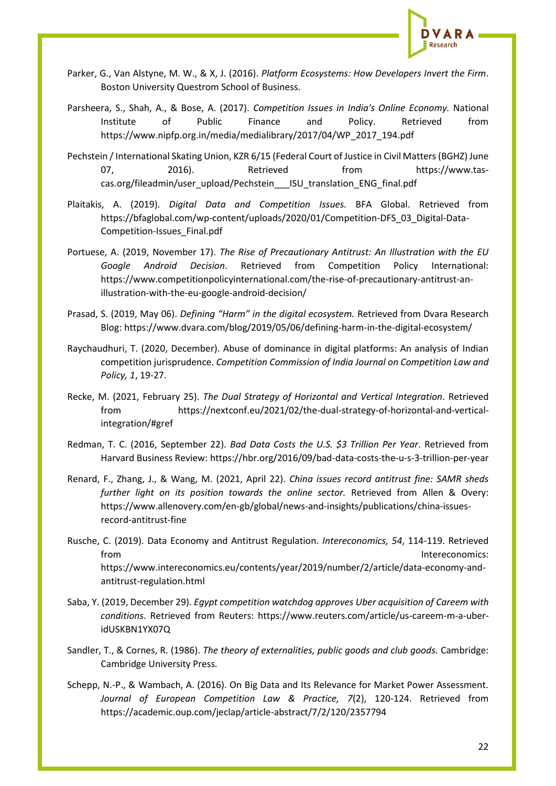

- Parker, G., Van Alstyne, M. W., & X, J. (2016). *Platform Ecosystems: How Developers Invert the Firm*. Boston University Questrom School of Business.
- Parsheera, S., Shah, A., & Bose, A. (2017). *Competition Issues in India's Online Economy.* National Institute of Public Finance and Policy. Retrieved from https://www.nipfp.org.in/media/medialibrary/2017/04/WP\_2017\_194.pdf
- Pechstein / International Skating Union, KZR 6/15 (Federal Court of Justice in Civil Matters (BGHZ) June 07. 2016). Retrieved from https://www.tascas.org/fileadmin/user\_upload/Pechstein\_\_\_ISU\_translation\_ENG\_final.pdf
- Plaitakis, A. (2019). *Digital Data and Competition Issues.* BFA Global. Retrieved from https://bfaglobal.com/wp-content/uploads/2020/01/Competition-DFS\_03\_Digital-Data-Competition-Issues\_Final.pdf
- Portuese, A. (2019, November 17). *The Rise of Precautionary Antitrust: An Illustration with the EU Google Android Decision*. Retrieved from Competition Policy International: https://www.competitionpolicyinternational.com/the-rise-of-precautionary-antitrust-anillustration-with-the-eu-google-android-decision/
- Prasad, S. (2019, May 06). *Defining "Harm" in the digital ecosystem.* Retrieved from Dvara Research Blog: https://www.dvara.com/blog/2019/05/06/defining-harm-in-the-digital-ecosystem/
- Raychaudhuri, T. (2020, December). Abuse of dominance in digital platforms: An analysis of Indian competition jurisprudence. *Competition Commission of India Journal on Competition Law and Policy, 1*, 19-27.
- Recke, M. (2021, February 25). *The Dual Strategy of Horizontal and Vertical Integration*. Retrieved from https://nextconf.eu/2021/02/the-dual-strategy-of-horizontal-and-verticalintegration/#gref
- Redman, T. C. (2016, September 22). *Bad Data Costs the U.S. \$3 Trillion Per Year*. Retrieved from Harvard Business Review: https://hbr.org/2016/09/bad-data-costs-the-u-s-3-trillion-per-year
- Renard, F., Zhang, J., & Wang, M. (2021, April 22). *China issues record antitrust fine: SAMR sheds further light on its position towards the online sector.* Retrieved from Allen & Overy: https://www.allenovery.com/en-gb/global/news-and-insights/publications/china-issuesrecord-antitrust-fine
- Rusche, C. (2019). Data Economy and Antitrust Regulation. *Intereconomics, 54*, 114-119. Retrieved from Intereconomics: https://www.intereconomics.eu/contents/year/2019/number/2/article/data-economy-andantitrust-regulation.html
- Saba, Y. (2019, December 29). *Egypt competition watchdog approves Uber acquisition of Careem with conditions*. Retrieved from Reuters: https://www.reuters.com/article/us-careem-m-a-uberidUSKBN1YX07Q
- Sandler, T., & Cornes, R. (1986). *The theory of externalities, public goods and club goods.* Cambridge: Cambridge University Press.
- Schepp, N.-P., & Wambach, A. (2016). On Big Data and Its Relevance for Market Power Assessment. *Journal of European Competition Law & Practice, 7*(2), 120-124. Retrieved from https://academic.oup.com/jeclap/article-abstract/7/2/120/2357794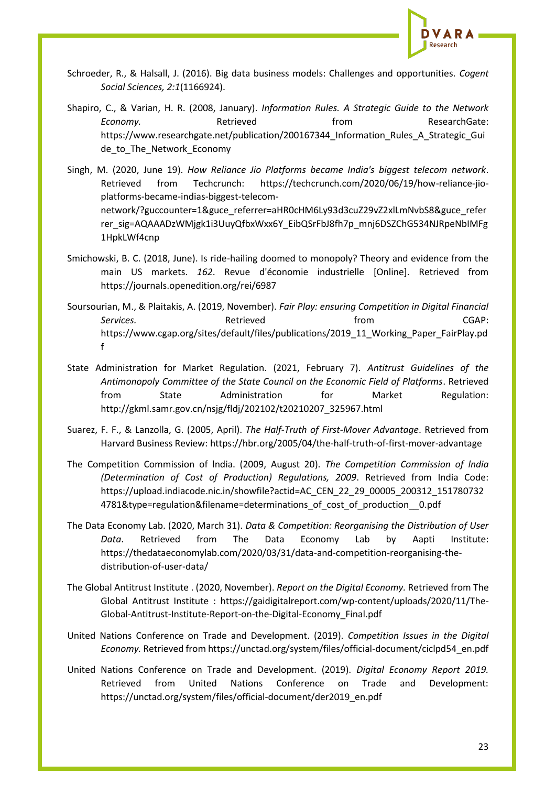

- Schroeder, R., & Halsall, J. (2016). Big data business models: Challenges and opportunities. *Cogent Social Sciences, 2:1*(1166924).
- Shapiro, C., & Varian, H. R. (2008, January). *Information Rules. A Strategic Guide to the Network*  **Economy.** Retrieved **Retrieved ResearchGate:** https://www.researchgate.net/publication/200167344\_Information\_Rules\_A\_Strategic\_Gui de\_to\_The\_Network\_Economy
- Singh, M. (2020, June 19). *How Reliance Jio Platforms became India's biggest telecom network*. Retrieved from Techcrunch: https://techcrunch.com/2020/06/19/how-reliance-jioplatforms-became-indias-biggest-telecomnetwork/?guccounter=1&guce\_referrer=aHR0cHM6Ly93d3cuZ29vZ2xlLmNvbS8&guce\_refer rer\_sig=AQAAADzWMjgk1i3UuyQfbxWxx6Y\_EibQSrFbJ8fh7p\_mnj6DSZChG534NJRpeNbIMFg 1HpkLWf4cnp
- Smichowski, B. C. (2018, June). Is ride-hailing doomed to monopoly? Theory and evidence from the main US markets. *162*. Revue d'économie industrielle [Online]. Retrieved from https://journals.openedition.org/rei/6987
- Soursourian, M., & Plaitakis, A. (2019, November). *Fair Play: ensuring Competition in Digital Financial*  Services. The contract of the Retrieved **CGAP:** the from the contract of the CGAP: https://www.cgap.org/sites/default/files/publications/2019\_11\_Working\_Paper\_FairPlay.pd f
- State Administration for Market Regulation. (2021, February 7). *Antitrust Guidelines of the Antimonopoly Committee of the State Council on the Economic Field of Platforms*. Retrieved from State Administration for Market Regulation: http://gkml.samr.gov.cn/nsjg/fldj/202102/t20210207\_325967.html
- Suarez, F. F., & Lanzolla, G. (2005, April). *The Half-Truth of First-Mover Advantage*. Retrieved from Harvard Business Review: https://hbr.org/2005/04/the-half-truth-of-first-mover-advantage
- The Competition Commission of lndia. (2009, August 20). *The Competition Commission of lndia (Determination of Cost of Production) Regulations, 2009*. Retrieved from India Code: https://upload.indiacode.nic.in/showfile?actid=AC\_CEN\_22\_29\_00005\_200312\_151780732 4781&type=regulation&filename=determinations of cost of production 0.pdf
- The Data Economy Lab. (2020, March 31). *Data & Competition: Reorganising the Distribution of User Data*. Retrieved from The Data Economy Lab by Aapti Institute: https://thedataeconomylab.com/2020/03/31/data-and-competition-reorganising-thedistribution-of-user-data/
- The Global Antitrust Institute . (2020, November). *Report on the Digital Economy.* Retrieved from The Global Antitrust Institute : https://gaidigitalreport.com/wp-content/uploads/2020/11/The-Global-Antitrust-Institute-Report-on-the-Digital-Economy\_Final.pdf
- United Nations Conference on Trade and Development. (2019). *Competition Issues in the Digital Economy.* Retrieved from https://unctad.org/system/files/official-document/ciclpd54\_en.pdf
- United Nations Conference on Trade and Development. (2019). *Digital Economy Report 2019.* Retrieved from United Nations Conference on Trade and Development: https://unctad.org/system/files/official-document/der2019\_en.pdf